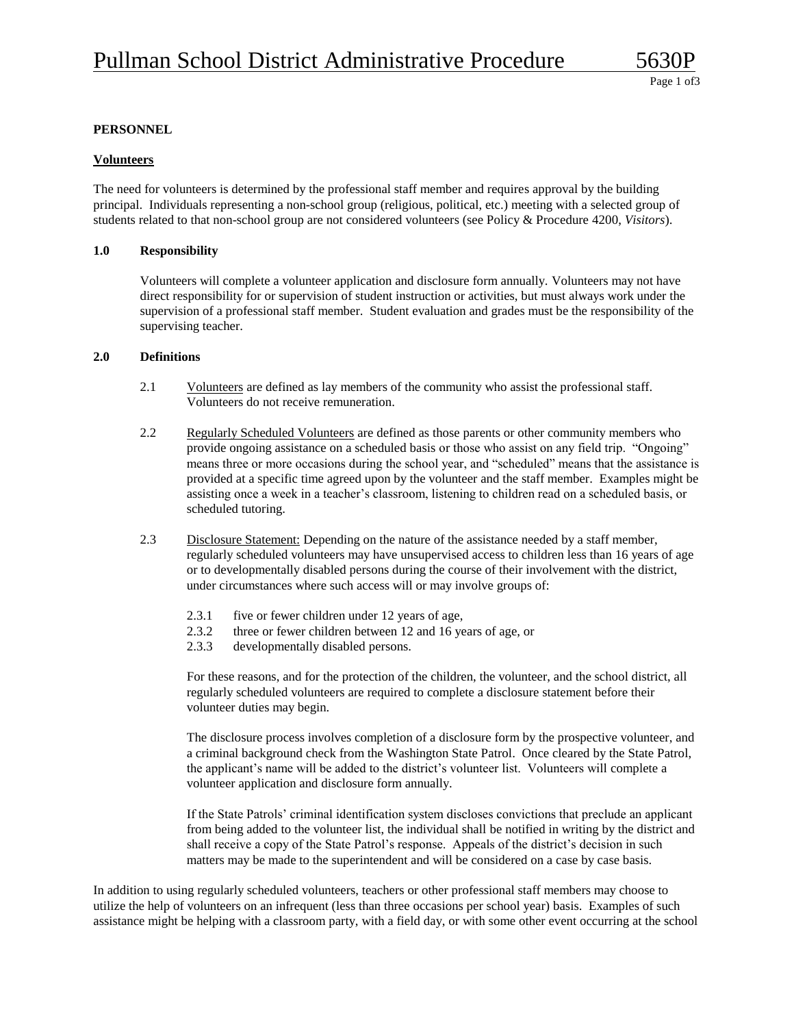## **PERSONNEL**

### **Volunteers**

The need for volunteers is determined by the professional staff member and requires approval by the building principal. Individuals representing a non-school group (religious, political, etc.) meeting with a selected group of students related to that non-school group are not considered volunteers (see Policy & Procedure 4200, *Visitors*).

#### **1.0 Responsibility**

Volunteers will complete a volunteer application and disclosure form annually. Volunteers may not have direct responsibility for or supervision of student instruction or activities, but must always work under the supervision of a professional staff member. Student evaluation and grades must be the responsibility of the supervising teacher.

#### **2.0 Definitions**

- 2.1 Volunteers are defined as lay members of the community who assist the professional staff. Volunteers do not receive remuneration.
- 2.2 Regularly Scheduled Volunteers are defined as those parents or other community members who provide ongoing assistance on a scheduled basis or those who assist on any field trip. "Ongoing" means three or more occasions during the school year, and "scheduled" means that the assistance is provided at a specific time agreed upon by the volunteer and the staff member. Examples might be assisting once a week in a teacher's classroom, listening to children read on a scheduled basis, or scheduled tutoring.
- 2.3 Disclosure Statement: Depending on the nature of the assistance needed by a staff member, regularly scheduled volunteers may have unsupervised access to children less than 16 years of age or to developmentally disabled persons during the course of their involvement with the district, under circumstances where such access will or may involve groups of:
	- 2.3.1 five or fewer children under 12 years of age,
	- 2.3.2 three or fewer children between 12 and 16 years of age, or
	- 2.3.3 developmentally disabled persons.

For these reasons, and for the protection of the children, the volunteer, and the school district, all regularly scheduled volunteers are required to complete a disclosure statement before their volunteer duties may begin.

The disclosure process involves completion of a disclosure form by the prospective volunteer, and a criminal background check from the Washington State Patrol. Once cleared by the State Patrol, the applicant's name will be added to the district's volunteer list. Volunteers will complete a volunteer application and disclosure form annually.

If the State Patrols' criminal identification system discloses convictions that preclude an applicant from being added to the volunteer list, the individual shall be notified in writing by the district and shall receive a copy of the State Patrol's response. Appeals of the district's decision in such matters may be made to the superintendent and will be considered on a case by case basis.

In addition to using regularly scheduled volunteers, teachers or other professional staff members may choose to utilize the help of volunteers on an infrequent (less than three occasions per school year) basis. Examples of such assistance might be helping with a classroom party, with a field day, or with some other event occurring at the school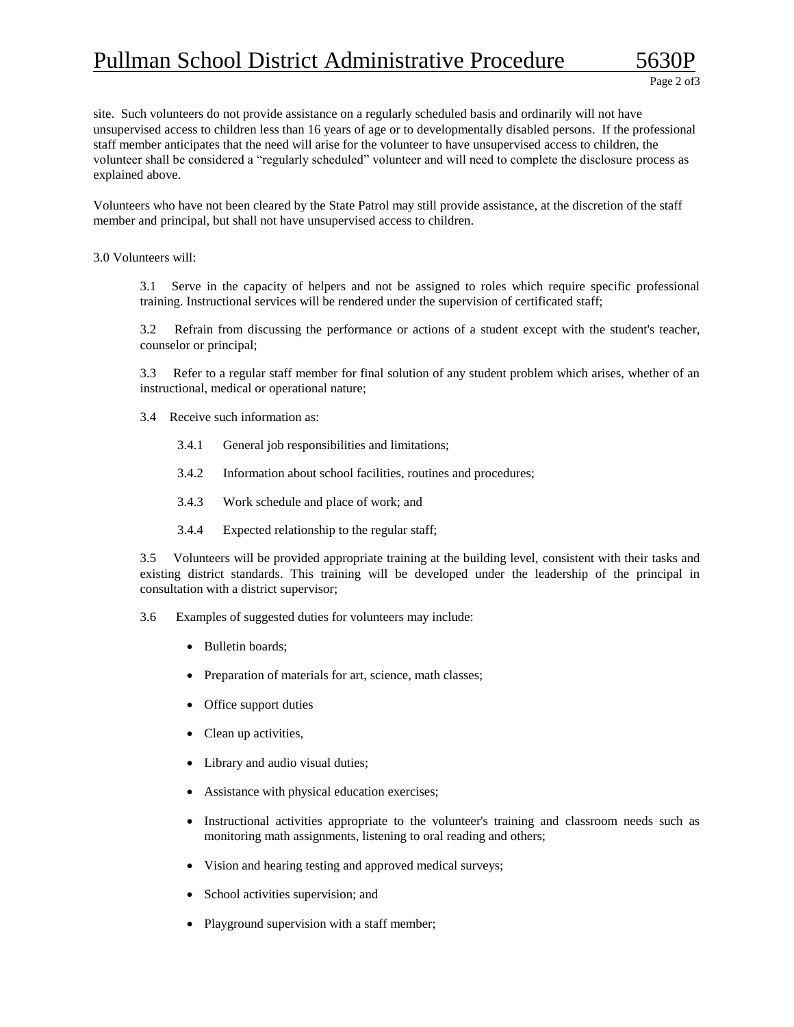# Pullman School District Administrative Procedure

site. Such volunteers do not provide assistance on a regularly scheduled basis and ordinarily will not have unsupervised access to children less than 16 years of age or to developmentally disabled persons. If the professional staff member anticipates that the need will arise for the volunteer to have unsupervised access to children, the volunteer shall be considered a "regularly scheduled" volunteer and will need to complete the disclosure process as explained above.

Volunteers who have not been cleared by the State Patrol may still provide assistance, at the discretion of the staff member and principal, but shall not have unsupervised access to children.

3.0 Volunteers will:

3.1 Serve in the capacity of helpers and not be assigned to roles which require specific professional training. Instructional services will be rendered under the supervision of certificated staff;

3.2 Refrain from discussing the performance or actions of a student except with the student's teacher, counselor or principal;

3.3 Refer to a regular staff member for final solution of any student problem which arises, whether of an instructional, medical or operational nature;

- 3.4 Receive such information as:
	- 3.4.1 General job responsibilities and limitations;
	- 3.4.2 Information about school facilities, routines and procedures;
	- 3.4.3 Work schedule and place of work; and
	- 3.4.4 Expected relationship to the regular staff;

3.5 Volunteers will be provided appropriate training at the building level, consistent with their tasks and existing district standards. This training will be developed under the leadership of the principal in consultation with a district supervisor;

- 3.6 Examples of suggested duties for volunteers may include:
	- Bulletin boards;
	- Preparation of materials for art, science, math classes;
	- Office support duties
	- Clean up activities,
	- Library and audio visual duties;
	- Assistance with physical education exercises;
	- Instructional activities appropriate to the volunteer's training and classroom needs such as monitoring math assignments, listening to oral reading and others;
	- Vision and hearing testing and approved medical surveys;
	- School activities supervision; and
	- Playground supervision with a staff member;